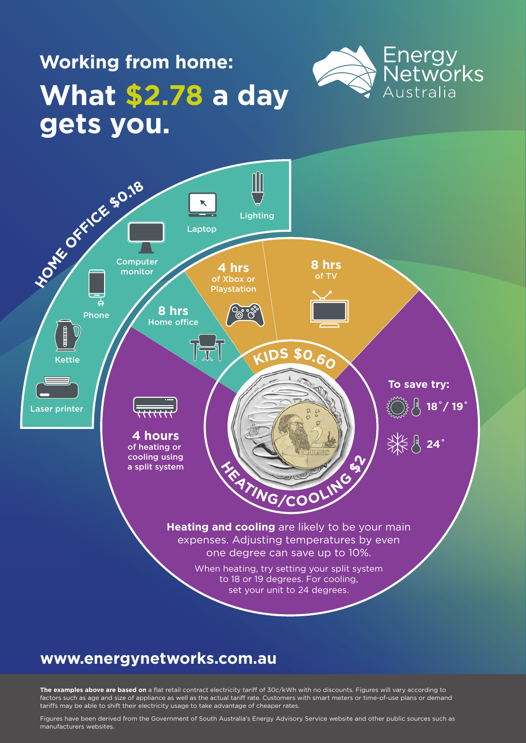### **Working from home: What \$2.78 a day gets you.**





### **www.energynetworks.com.au**

**The examples above are based on** a flat retail contract electricity tariff of 30c/kWh with no discounts. Figures will vary according to factors such as age and size of appliance as well as the actual tariff rate. Customers with smart meters or time-of-use plans or demand tariffs may be able to shift their electricity usage to take advantage of cheaper rates.

Figures have been derived from the Government of South Australia's Energy Advisory Service website and other public sources such as manufacturers websites.